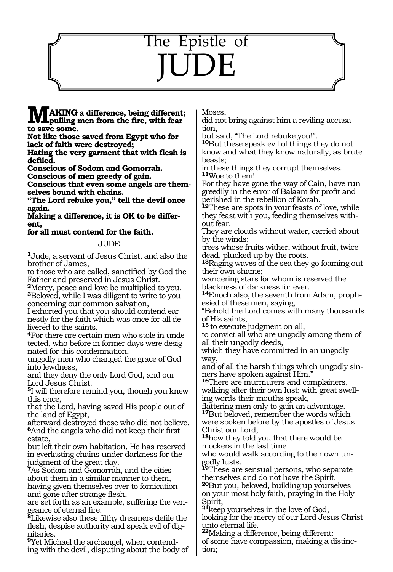## The Epistle of JUDE

**MAKING a difference, being different; pulling men from the fire, with fear to save some.** 

**Not like those saved from Egypt who for lack of faith were destroyed;** 

**Hating the very garment that with flesh is defiled.** 

**Conscious of Sodom and Gomorrah.** 

**Conscious of men greedy of gain.** 

**Conscious that even some angels are themselves bound with chains.** 

**"The Lord rebuke you," tell the devil once again.** 

**Making a difference, it is OK to be different,** 

**for all must contend for the faith.** 

## JUDE

**<sup>1</sup>**Jude, a servant of Jesus Christ, and also the brother of James,

to those who are called, sanctified by God the Father and preserved in Jesus Christ.

**<sup>2</sup>**Mercy, peace and love be multiplied to you. **<sup>3</sup>**Beloved, while I was diligent to write to you concerning our common salvation,

I exhorted you that you should contend earnestly for the faith which was once for all delivered to the saints.

**4**For there are certain men who stole in undetected, who before in former days were designated for this condemnation,

ungodly men who changed the grace of God into lewdness,

and they deny the only Lord God, and our Lord Jesus Christ.

**<sup>5</sup>**I will therefore remind you, though you knew this once,

that the Lord, having saved His people out of the land of Egypt,

afterward destroyed those who did not believe. **<sup>6</sup>**And the angels who did not keep their first estate,

but left their own habitation, He has reserved in everlasting chains under darkness for the judgment of the great day.

**<sup>7</sup>**As Sodom and Gomorrah, and the cities about them in a similar manner to them, having given themselves over to fornication and gone after strange flesh,

are set forth as an example, suffering the ven- geance of eternal fire.

**<sup>8</sup>**Likewise also these filthy dreamers defile the flesh, despise authority and speak evil of dignitaries.

**9**Yet Michael the archangel, when contending with the devil, disputing about the body of Moses,

did not bring against him a reviling accusation,

but said, "The Lord rebuke you!".

**<sup>10</sup>**But these speak evil of things they do not know and what they know naturally, as brute beasts;

in these things they corrupt themselves. **<sup>11</sup>**Woe to them!

For they have gone the way of Cain, have run greedily in the error of Balaam for profit and perished in the rebellion of Korah.

**<sup>12</sup>**These are spots in your feasts of love, while they feast with you, feeding themselves without fear.

They are clouds without water, carried about by the winds;

trees whose fruits wither, without fruit, twice dead, plucked up by the roots.

**<sup>13</sup>**Raging waves of the sea they go foaming out their own shame;

wandering stars for whom is reserved the blackness of darkness for ever.

**14**Enoch also, the seventh from Adam, prophesied of these men, saying,

"Behold the Lord comes with many thousands of His saints,

**<sup>15</sup>**to execute judgment on all,

to convict all who are ungodly among them of all their ungodly deeds,

which they have committed in an ungodly way,

and of all the harsh things which ungodly sinners have spoken against Him."

**<sup>16</sup>**There are murmurers and complainers, walking after their own lust; with great swell- ing words their mouths speak,

flattering men only to gain an advantage. **<sup>17</sup>**But beloved, remember the words which were spoken before by the apostles of Jesus Christ our Lord,

**<sup>18</sup>**how they told you that there would be mockers in the last time

who would walk according to their own ungodly lusts.

**<sup>19</sup>**These are sensual persons, who separate themselves and do not have the Spirit.

**<sup>20</sup>**But you, beloved, building up yourselves on your most holy faith, praying in the Holy Spirit,

**<sup>21</sup>**keep yourselves in the love of God, looking for the mercy of our Lord Jesus Christ unto eternal life. **<sup>22</sup>**Making a difference, being different:

of some have compassion, making a distinc-<br>tion;